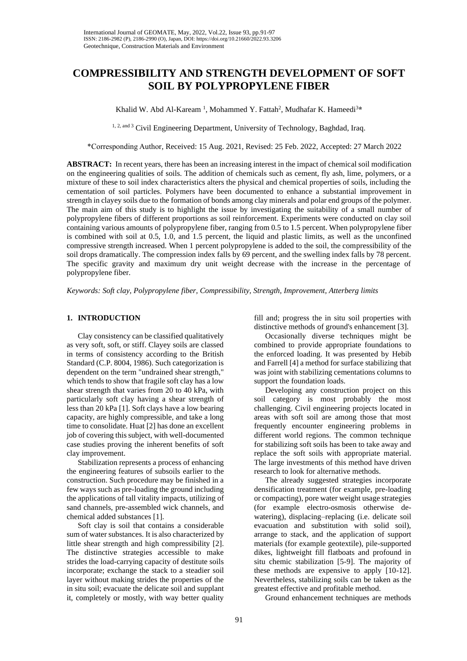# **COMPRESSIBILITY AND STRENGTH DEVELOPMENT OF SOFT SOIL BY POLYPROPYLENE FIBER**

Khalid W. Abd Al-Kaream<sup>1</sup>, Mohammed Y. Fattah<sup>2</sup>, Mudhafar K. Hameedi<sup>3\*</sup>

<sup>1, 2, and 3</sup> Civil Engineering Department, University of Technology, Baghdad, Iraq.

\*Corresponding Author, Received: 15 Aug. 2021, Revised: 25 Feb. 2022, Accepted: 27 March 2022

**ABSTRACT:** In recent years, there has been an increasing interest in the impact of chemical soil modification on the engineering qualities of soils. The addition of chemicals such as cement, fly ash, lime, polymers, or a mixture of these to soil index characteristics alters the physical and chemical properties of soils, including the cementation of soil particles. Polymers have been documented to enhance a substantial improvement in strength in clayey soils due to the formation of bonds among clay minerals and polar end groups of the polymer. The main aim of this study is to highlight the issue by investigating the suitability of a small number of polypropylene fibers of different proportions as soil reinforcement. Experiments were conducted on clay soil containing various amounts of polypropylene fiber, ranging from 0.5 to 1.5 percent. When polypropylene fiber is combined with soil at 0.5, 1.0, and 1.5 percent, the liquid and plastic limits, as well as the unconfined compressive strength increased. When 1 percent polypropylene is added to the soil, the compressibility of the soil drops dramatically. The compression index falls by 69 percent, and the swelling index falls by 78 percent. The specific gravity and maximum dry unit weight decrease with the increase in the percentage of polypropylene fiber.

*Keywords: Soft clay, Polypropylene fiber, Compressibility, Strength, Improvement, Atterberg limits* 

### **1. INTRODUCTION**

Clay consistency can be classified qualitatively as very soft, soft, or stiff. Clayey soils are classed in terms of consistency according to the British Standard (C.P. 8004, 1986). Such categorization is dependent on the term "undrained shear strength," which tends to show that fragile soft clay has a low shear strength that varies from 20 to 40 kPa, with particularly soft clay having a shear strength of less than 20 kPa [1]. Soft clays have a low bearing capacity, are highly compressible, and take a long time to consolidate. Huat [2] has done an excellent job of covering this subject, with well-documented case studies proving the inherent benefits of soft clay improvement.

Stabilization represents a process of enhancing the engineering features of subsoils earlier to the construction. Such procedure may be finished in a few ways such as pre-loading the ground including the applications of tall vitality impacts, utilizing of sand channels, pre-assembled wick channels, and chemical added substances [1].

Soft clay is soil that contains a considerable sum of water substances. It is also characterized by little shear strength and high compressibility [2]. The distinctive strategies accessible to make strides the load-carrying capacity of destitute soils incorporate; exchange the stack to a steadier soil layer without making strides the properties of the in situ soil; evacuate the delicate soil and supplant it, completely or mostly, with way better quality

fill and; progress the in situ soil properties with distinctive methods of ground's enhancement [3].

Occasionally diverse techniques might be combined to provide appropriate foundations to the enforced loading. It was presented by Hebib and Farrell [4] a method for surface stabilizing that was joint with stabilizing cementations columns to support the foundation loads.

Developing any construction project on this soil category is most probably the most challenging. Civil engineering projects located in areas with soft soil are among those that most frequently encounter engineering problems in different world regions. The common technique for stabilizing soft soils has been to take away and replace the soft soils with appropriate material. The large investments of this method have driven research to look for alternative methods.

The already suggested strategies incorporate densification treatment (for example, pre-loading or compacting), pore water weight usage strategies (for example electro-osmosis otherwise dewatering), displacing–replacing (i.e. delicate soil evacuation and substitution with solid soil), arrange to stack, and the application of support materials (for example geotextile), pile-supported dikes, lightweight fill flatboats and profound in situ chemic stabilization [5-9]. The majority of these methods are expensive to apply [10-12]. Nevertheless, stabilizing soils can be taken as the greatest effective and profitable method.

Ground enhancement techniques are methods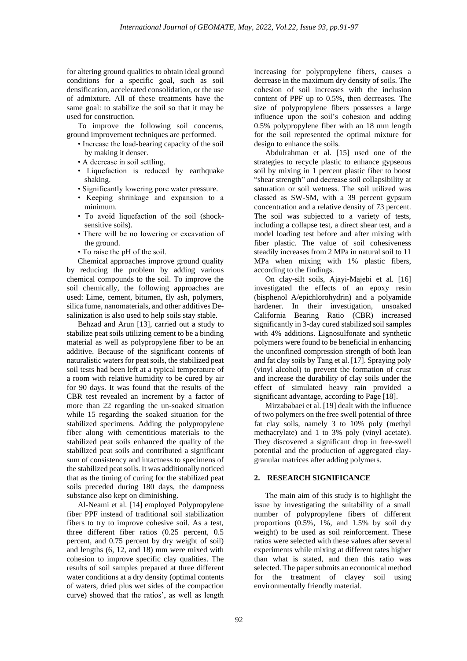for altering ground qualities to obtain ideal ground conditions for a specific goal, such as soil densification, accelerated consolidation, or the use of admixture. All of these treatments have the same goal: to stabilize the soil so that it may be used for construction.

To improve the following soil concerns, ground improvement techniques are performed.

- Increase the load-bearing capacity of the soil by making it denser.
- A decrease in soil settling.
- Liquefaction is reduced by earthquake shaking.
- Significantly lowering pore water pressure.
- Keeping shrinkage and expansion to a minimum.
- To avoid liquefaction of the soil (shocksensitive soils).
- There will be no lowering or excavation of the ground.
- To raise the pH of the soil.

Chemical approaches improve ground quality by reducing the problem by adding various chemical compounds to the soil. To improve the soil chemically, the following approaches are used: Lime, cement, bitumen, fly ash, polymers, silica fume, nanomaterials, and other additives Desalinization is also used to help soils stay stable.

Behzad and Arun [13], carried out a study to stabilize peat soils utilizing cement to be a binding material as well as polypropylene fiber to be an additive. Because of the significant contents of naturalistic waters for peat soils, the stabilized peat soil tests had been left at a typical temperature of a room with relative humidity to be cured by air for 90 days. It was found that the results of the CBR test revealed an increment by a factor of more than 22 regarding the un-soaked situation while 15 regarding the soaked situation for the stabilized specimens. Adding the polypropylene fiber along with cementitious materials to the stabilized peat soils enhanced the quality of the stabilized peat soils and contributed a significant sum of consistency and intactness to specimens of the stabilized peat soils. It was additionally noticed that as the timing of curing for the stabilized peat soils preceded during 180 days, the dampness substance also kept on diminishing.

Al-Neami et al. [14] employed Polypropylene fiber PPF instead of traditional soil stabilization fibers to try to improve cohesive soil. As a test, three different fiber ratios (0.25 percent, 0.5 percent, and 0.75 percent by dry weight of soil) and lengths (6, 12, and 18) mm were mixed with cohesion to improve specific clay qualities. The results of soil samples prepared at three different water conditions at a dry density (optimal contents of waters, dried plus wet sides of the compaction curve) showed that the ratios', as well as length

increasing for polypropylene fibers, causes a decrease in the maximum dry density of soils. The cohesion of soil increases with the inclusion content of PPF up to 0.5%, then decreases. The size of polypropylene fibers possesses a large influence upon the soil's cohesion and adding 0.5% polypropylene fiber with an 18 mm length for the soil represented the optimal mixture for design to enhance the soils.

Abdulrahman et al. [15] used one of the strategies to recycle plastic to enhance gypseous soil by mixing in 1 percent plastic fiber to boost "shear strength" and decrease soil collapsibility at saturation or soil wetness. The soil utilized was classed as SW-SM, with a 39 percent gypsum concentration and a relative density of 73 percent. The soil was subjected to a variety of tests, including a collapse test, a direct shear test, and a model loading test before and after mixing with fiber plastic. The value of soil cohesiveness steadily increases from 2 MPa in natural soil to 11 MPa when mixing with 1% plastic fibers, according to the findings.

On clay-silt soils, Ajayi-Majebi et al. [16] investigated the effects of an epoxy resin (bisphenol A/epichlorohydrin) and a polyamide hardener. In their investigation, unsoaked California Bearing Ratio (CBR) increased significantly in 3-day cured stabilized soil samples with 4% additions. Lignosulfonate and synthetic polymers were found to be beneficial in enhancing the unconfined compression strength of both lean and fat clay soils by Tang et al. [17]. Spraying poly (vinyl alcohol) to prevent the formation of crust and increase the durability of clay soils under the effect of simulated heavy rain provided a significant advantage, according to Page [18].

Mirzababaei et al. [19] dealt with the influence of two polymers on the free swell potential of three fat clay soils, namely 3 to 10% poly (methyl methacrylate) and 1 to 3% poly (vinyl acetate). They discovered a significant drop in free-swell potential and the production of aggregated claygranular matrices after adding polymers.

## **2. RESEARCH SIGNIFICANCE**

The main aim of this study is to highlight the issue by investigating the suitability of a small number of polypropylene fibers of different proportions (0.5%, 1%, and 1.5% by soil dry weight) to be used as soil reinforcement. These ratios were selected with these values after several experiments while mixing at different rates higher than what is stated, and then this ratio was selected. The paper submits an economical method for the treatment of clayey soil using environmentally friendly material.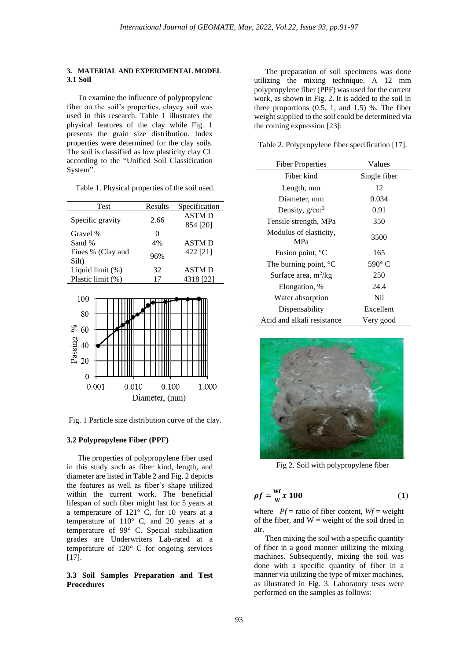#### **3. MATERIAL AND EXPERIMENTAL MODEL 3.1 Soil**

To examine the influence of polypropylene fiber on the soil's properties, clayey soil was used in this research. Table 1 illustrates the physical features of the clay while Fig. 1 presents the grain size distribution. Index properties were determined for the clay soils. The soil is classified as low plasticity clay CL according to the "Unified Soil Classification System".

| Table 1. Physical properties of the soil used. |  |  |  |
|------------------------------------------------|--|--|--|
|------------------------------------------------|--|--|--|

| Test              | Results  | Specification |
|-------------------|----------|---------------|
| Specific gravity  | 2.66     | <b>ASTMD</b>  |
|                   |          | 854 [20]      |
| Gravel %          | $\Omega$ |               |
| Sand %            | 4%       | <b>ASTMD</b>  |
| Fines % (Clay and | 96%      | 422 [21]      |
| Silt)             |          |               |
| Liquid limit (%)  | 32       | <b>ASTMD</b>  |
| Plastic limit (%) | 17       | 4318 [22]     |



Fig. 1 Particle size distribution curve of the clay.

#### **3.2 Polypropylene Fiber (PPF)**

The properties of polypropylene fiber used in this study such as fiber kind, length, and diameter are listed in Table 2 and Fig. 2 depict**s**  the features as well as fiber's shape utilized within the current work. The beneficial lifespan of such fiber might last for 5 years at a temperature of 121° C, for 10 years at a temperature of 110° C, and 20 years at a temperature of 99° C. Special stabilization grades are Underwriters Lab-rated at a temperature of 120° C for ongoing services [17].

## **3.3 Soil Samples Preparation and Test Procedures**

The preparation of soil specimens was done utilizing the mixing technique. A 12 mm polypropylene fiber (PPF) was used for the current work, as shown in Fig. 2. It is added to the soil in three proportions  $(0.5, 1, \text{ and } 1.5)$  %. The fiber weight supplied to the soil could be determined via the coming expression [23]:

Table 2. Polypropylene fiber specification [17].

| <b>Fiber Properties</b>              | Values          |  |
|--------------------------------------|-----------------|--|
| Fiber kind                           | Single fiber    |  |
| Length, mm                           | 12              |  |
| Diameter, mm                         | 0.034           |  |
| Density, $g/cm^3$                    | 0.91            |  |
| Tensile strength, MPa                | 350             |  |
| Modulus of elasticity,<br><b>MPa</b> | 3500            |  |
| Fusion point, °C                     | 165             |  |
| The burning point, $^{\circ}C$       | $590^{\circ}$ C |  |
| Surface area, $m^2/kg$               | 250             |  |
| Elongation, %                        | 24.4            |  |
| Water absorption                     | N <sub>i</sub>  |  |
| Dispensability                       | Excellent       |  |
| Acid and alkali resistance           | Very good       |  |



Fig 2. Soil with polypropylene fiber

$$
\rho f = \frac{Wf}{W} x 100 \tag{1}
$$

where  $Pf$  = ratio of fiber content,  $Wf$  = weight of the fiber, and  $W =$  weight of the soil dried in air.

Then mixing the soil with a specific quantity of fiber in a good manner utilizing the mixing machines. Subsequently, mixing the soil was done with a specific quantity of fiber in a manner via utilizing the type of mixer machines, as illustrated in Fig. 3. Laboratory tests were performed on the samples as follows: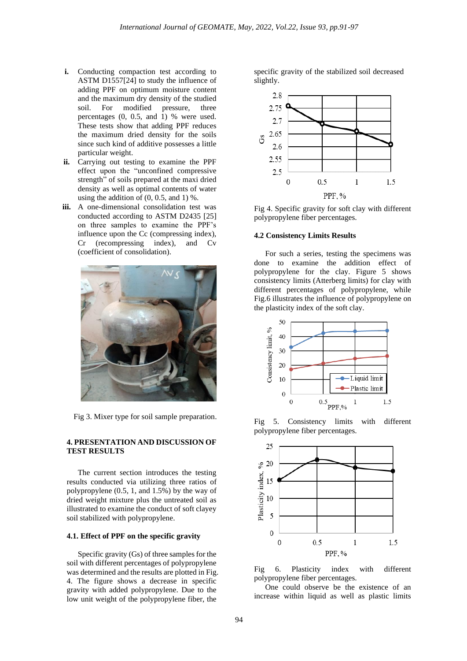- **i.** Conducting compaction test according to ASTM D1557[24] to study the influence of adding PPF on optimum moisture content and the maximum dry density of the studied soil. For modified pressure, three percentages (0, 0.5, and 1) % were used. These tests show that adding PPF reduces the maximum dried density for the soils since such kind of additive possesses a little particular weight.
- **ii.** Carrying out testing to examine the PPF effect upon the "unconfined compressive strength" of soils prepared at the maxi dried density as well as optimal contents of water using the addition of  $(0, 0.5, \text{ and } 1)$ %.
- **iii.** A one-dimensional consolidation test was conducted according to ASTM D2435 [25] on three samples to examine the PPF's influence upon the Cc (compressing index),<br>Cr (recompressing index), and Cv Cr (recompressing index), and Cv (coefficient of consolidation).



Fig 3. Mixer type for soil sample preparation.

## **4. PRESENTATION AND DISCUSSION OF TEST RESULTS**

The current section introduces the testing results conducted via utilizing three ratios of polypropylene (0.5, 1, and 1.5%) by the way of dried weight mixture plus the untreated soil as illustrated to examine the conduct of soft clayey soil stabilized with polypropylene.

## **4.1. Effect of PPF on the specific gravity**

Specific gravity (Gs) of three samples for the soil with different percentages of polypropylene was determined and the results are plotted in Fig. 4. The figure shows a decrease in specific gravity with added polypropylene. Due to the low unit weight of the polypropylene fiber, the

specific gravity of the stabilized soil decreased slightly.



Fig 4. Specific gravity for soft clay with different polypropylene fiber percentages.

## **4.2 Consistency Limits Results**

For such a series, testing the specimens was done to examine the addition effect of polypropylene for the clay. Figure 5 shows consistency limits (Atterberg limits) for clay with different percentages of polypropylene, while Fig.6 illustrates the influence of polypropylene on the plasticity index of the soft clay.



Fig 5. Consistency limits with different polypropylene fiber percentages.



Fig 6. Plasticity index with different polypropylene fiber percentages.

One could observe be the existence of an increase within liquid as well as plastic limits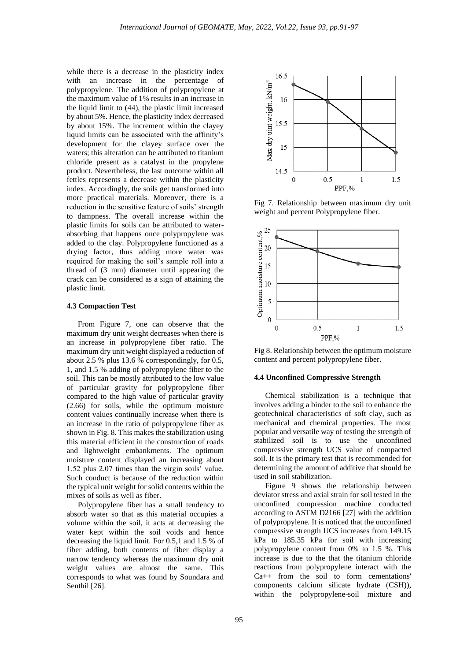while there is a decrease in the plasticity index with an increase in the percentage of polypropylene. The addition of polypropylene at the maximum value of 1% results in an increase in the liquid limit to (44), the plastic limit increased by about 5%. Hence, the plasticity index decreased by about 15%. The increment within the clayey liquid limits can be associated with the affinity's development for the clayey surface over the waters; this alteration can be attributed to titanium chloride present as a catalyst in the propylene product. Nevertheless, the last outcome within all fettles represents a decrease within the plasticity index. Accordingly, the soils get transformed into more practical materials. Moreover, there is a reduction in the sensitive feature of soils' strength to dampness. The overall increase within the plastic limits for soils can be attributed to waterabsorbing that happens once polypropylene was added to the clay. Polypropylene functioned as a drying factor, thus adding more water was required for making the soil's sample roll into a thread of (3 mm) diameter until appearing the crack can be considered as a sign of attaining the plastic limit.

## **4.3 Compaction Test**

From Figure 7, one can observe that the maximum dry unit weight decreases when there is an increase in polypropylene fiber ratio. The maximum dry unit weight displayed a reduction of about 2.5 % plus 13.6 % correspondingly, for 0.5, 1, and 1.5 % adding of polypropylene fiber to the soil. This can be mostly attributed to the low value of particular gravity for polypropylene fiber compared to the high value of particular gravity (2.66) for soils, while the optimum moisture content values continually increase when there is an increase in the ratio of polypropylene fiber as shown in Fig. 8. This makes the stabilization using this material efficient in the construction of roads and lightweight embankments. The optimum moisture content displayed an increasing about 1.52 plus 2.07 times than the virgin soils' value. Such conduct is because of the reduction within the typical unit weight for solid contents within the mixes of soils as well as fiber.

Polypropylene fiber has a small tendency to absorb water so that as this material occupies a volume within the soil, it acts at decreasing the water kept within the soil voids and hence decreasing the liquid limit. For 0.5,1 and 1.5 % of fiber adding, both contents of fiber display a narrow tendency whereas the maximum dry unit weight values are almost the same. This corresponds to what was found by Soundara and Senthil [26].



Fig 7. Relationship between maximum dry unit weight and percent Polypropylene fiber.



Fig 8. Relationship between the optimum moisture content and percent polypropylene fiber.

#### **4.4 Unconfined Compressive Strength**

Chemical stabilization is a technique that involves adding a binder to the soil to enhance the geotechnical characteristics of soft clay, such as mechanical and chemical properties. The most popular and versatile way of testing the strength of stabilized soil is to use the unconfined compressive strength UCS value of compacted soil. It is the primary test that is recommended for determining the amount of additive that should be used in soil stabilization.

Figure 9 shows the relationship between deviator stress and axial strain for soil tested in the unconfined compression machine conducted according to ASTM D2166 [27] with the addition of polypropylene. It is noticed that the unconfined compressive strength UCS increases from 149.15 kPa to 185.35 kPa for soil with increasing polypropylene content from 0% to 1.5 %. This increase is due to the that the titanium chloride reactions from polypropylene interact with the Ca++ from the soil to form cementations' components calcium silicate hydrate (CSH)), within the polypropylene-soil mixture and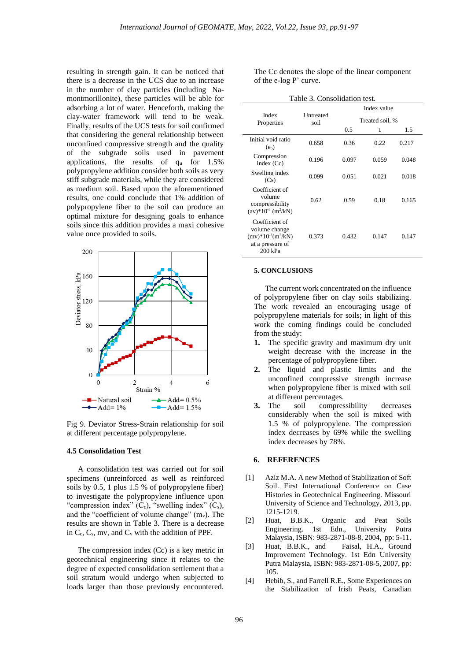resulting in strength gain. It can be noticed that there is a decrease in the UCS due to an increase in the number of clay particles (including Namontmorillonite), these particles will be able for adsorbing a lot of water. Henceforth, making the clay-water framework will tend to be weak. Finally, results of the UCS tests for soil confirmed that considering the general relationship between unconfined compressive strength and the quality of the subgrade soils used in pavement applications, the results of q<sup>u</sup> for 1.5% polypropylene addition consider both soils as very stiff subgrade materials, while they are considered as medium soil. Based upon the aforementioned results, one could conclude that 1% addition of polypropylene fiber to the soil can produce an optimal mixture for designing goals to enhance soils since this addition provides a maxi cohesive value once provided to soils.



Fig 9. Deviator Stress-Strain relationship for soil at different percentage polypropylene.

#### **4.5 Consolidation Test**

A consolidation test was carried out for soil specimens (unreinforced as well as reinforced soils by 0.5, 1 plus 1.5 % of polypropylene fiber) to investigate the polypropylene influence upon "compression index"  $(C_c)$ , "swelling index"  $(C_s)$ , and the "coefficient of volume change"  $(m_v)$ . The results are shown in Table 3. There is a decrease in  $C_c$ ,  $C_s$ , mv, and  $C_v$  with the addition of PPF.

The compression index (Cc) is a key metric in geotechnical engineering since it relates to the degree of expected consolidation settlement that a soil stratum would undergo when subjected to loads larger than those previously encountered.

The Cc denotes the slope of the linear component of the e-log P' curve.

| Table 3. Consolidation test.                                                             |                   |       |                 |       |  |  |
|------------------------------------------------------------------------------------------|-------------------|-------|-----------------|-------|--|--|
|                                                                                          | Untreated<br>soil |       | Index value     |       |  |  |
| Index<br>Properties                                                                      |                   |       | Treated soil, % |       |  |  |
|                                                                                          |                   | 0.5   | 1               | 1.5   |  |  |
| Initial void ratio<br>$(e_0)$                                                            | 0.658             | 0.36  | 0.22            | 0.217 |  |  |
| Compression<br>index $(Cc)$                                                              | 0.196             | 0.097 | 0.059           | 0.048 |  |  |
| Swelling index<br>(Cs)                                                                   | 0.099             | 0.051 | 0.021           | 0.018 |  |  |
| Coefficient of<br>volume<br>compressibility<br>$(av)*10^{-3} (m^2/kN)$                   | 0.62              | 0.59  | 0.18            | 0.165 |  |  |
| Coefficient of<br>volume change<br>$(mv)*10^{-3}(m^2/kN)$<br>at a pressure of<br>200 kPa | 0.373             | 0.432 | 0.147           | 0.147 |  |  |

#### **5. CONCLUSIONS**

The current work concentrated on the influence of polypropylene fiber on clay soils stabilizing. The work revealed an encouraging usage of polypropylene materials for soils; in light of this work the coming findings could be concluded from the study:

- **1.** The specific gravity and maximum dry unit weight decrease with the increase in the percentage of polypropylene fiber.
- **2.** The liquid and plastic limits and the unconfined compressive strength increase when polypropylene fiber is mixed with soil at different percentages.
- **3.** The soil compressibility decreases considerably when the soil is mixed with 1.5 % of polypropylene. The compression index decreases by 69% while the swelling index decreases by 78%.

### **6. REFERENCES**

- [1] Aziz M.A. A new Method of Stabilization of Soft Soil. First International Conference on Case Histories in Geotechnical Engineering. Missouri University of Science and Technology, 2013, pp. 1215-1219.
- [2] Huat, B.B.K., Organic and Peat Soils Engineering. 1st Edn., University Putra Malaysia, ISBN: 983-2871-08-8, 2004, pp: 5-11.
- [3] Huat, B.B.K., and Faisal, H.A., Ground Improvement Technology. 1st Edn University Putra Malaysia, ISBN: 983-2871-08-5, 2007, pp: 105.
- [4] Hebib, S., and Farrell R.E., Some Experiences on the Stabilization of Irish Peats, Canadian